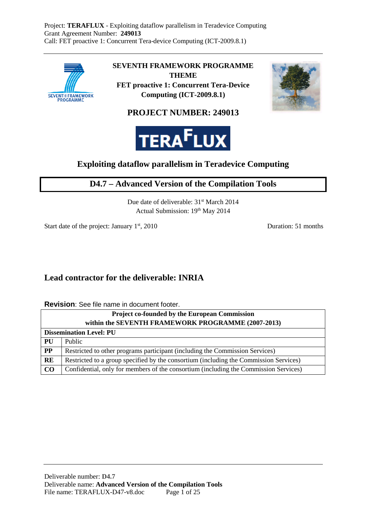

**SEVENTH FRAMEWORK PROGRAMME THEME FET proactive 1: Concurrent Tera-Device** 

**Computing (ICT-2009.8.1)** 



## **PROJECT NUMBER: 249013**



## **Exploiting dataflow parallelism in Teradevice Computing**

## **D4.7 – Advanced Version of the Compilation Tools**

Due date of deliverable: 31<sup>st</sup> March 2014 Actual Submission: 19th May 2014

Start date of the project: January 1<sup>st</sup>, 2010 Duration: 51 months

## **Lead contractor for the deliverable: INRIA**

**Revision**: See file name in document footer.

| <b>Project co-founded by the European Commission</b> |                                                                                       |  |  |  |
|------------------------------------------------------|---------------------------------------------------------------------------------------|--|--|--|
| within the SEVENTH FRAMEWORK PROGRAMME (2007-2013)   |                                                                                       |  |  |  |
| <b>Dissemination Level: PU</b>                       |                                                                                       |  |  |  |
| PU                                                   | Public                                                                                |  |  |  |
| PP                                                   | Restricted to other programs participant (including the Commission Services)          |  |  |  |
| <b>RE</b>                                            | Restricted to a group specified by the consortium (including the Commission Services) |  |  |  |
| $\bf CO$                                             | Confidential, only for members of the consortium (including the Commission Services)  |  |  |  |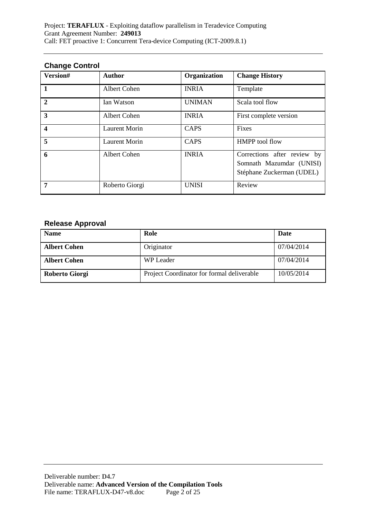### **Change Control**

| Version#                | <b>Author</b>        | Organization  | <b>Change History</b>                                                                |
|-------------------------|----------------------|---------------|--------------------------------------------------------------------------------------|
| $\vert$ 1               | Albert Cohen         | <b>INRIA</b>  | Template                                                                             |
| $\overline{2}$          | Ian Watson           | <b>UNIMAN</b> | Scala tool flow                                                                      |
| $\mathbf{3}$            | Albert Cohen         | <b>INRIA</b>  | First complete version                                                               |
| $\overline{\mathbf{4}}$ | <b>Laurent Morin</b> | <b>CAPS</b>   | Fixes                                                                                |
| 5                       | <b>Laurent Morin</b> | <b>CAPS</b>   | <b>HMPP</b> tool flow                                                                |
| 6                       | Albert Cohen         | <b>INRIA</b>  | Corrections after review by<br>Somnath Mazumdar (UNISI)<br>Stéphane Zuckerman (UDEL) |
| 7                       | Roberto Giorgi       | <b>UNISI</b>  | Review                                                                               |

## **Release Approval**

| <b>Name</b>         | Role                                       | Date       |
|---------------------|--------------------------------------------|------------|
| <b>Albert Cohen</b> | Originator                                 | 07/04/2014 |
| <b>Albert Cohen</b> | WP Leader                                  | 07/04/2014 |
| Roberto Giorgi      | Project Coordinator for formal deliverable | 10/05/2014 |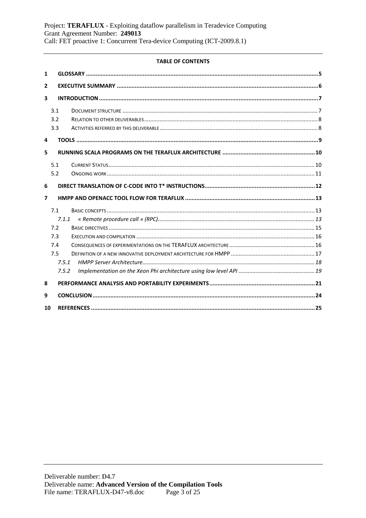### **TABLE OF CONTENTS**

| 1                        |       |  |
|--------------------------|-------|--|
| 2                        |       |  |
| 3                        |       |  |
|                          | 3.1   |  |
|                          | 3.2   |  |
|                          | 3.3   |  |
| 4                        |       |  |
| 5                        |       |  |
|                          | 5.1   |  |
|                          | 5.2   |  |
| 6                        |       |  |
|                          |       |  |
| $\overline{\phantom{a}}$ |       |  |
|                          | 7.1   |  |
|                          | 7.1.1 |  |
|                          | 7.2   |  |
|                          | 7.3   |  |
|                          | 7.4   |  |
|                          | 7.5   |  |
|                          | 7.5.1 |  |
|                          | 7.5.2 |  |
| 8                        |       |  |
| 9                        |       |  |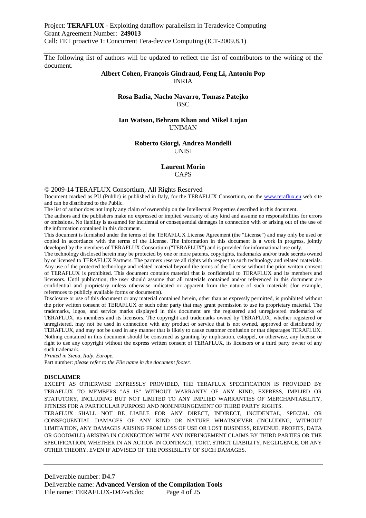The following list of authors will be updated to reflect the list of contributors to the writing of the document.

#### **Albert Cohen, François Gindraud, Feng Li, Antoniu Pop**  INRIA

#### **Rosa Badia, Nacho Navarro, Tomasz Patejko BSC**

#### **Ian Watson, Behram Khan and Mikel Lujan**  UNIMAN

#### **Roberto Giorgi, Andrea Mondelli**  UNISI

#### **Laurent Morin CAPS**

© 2009-14 TERAFLUX Consortium, All Rights Reserved

Document marked as PU (Public) is published in Italy, for the TERAFLUX Consortium, on the www.teraflux.eu web site and can be distributed to the Public.

The list of author does not imply any claim of ownership on the Intellectual Properties described in this document.

The authors and the publishers make no expressed or implied warranty of any kind and assume no responsibilities for errors or omissions. No liability is assumed for incidental or consequential damages in connection with or arising out of the use of the information contained in this document.

This document is furnished under the terms of the TERAFLUX License Agreement (the "License") and may only be used or copied in accordance with the terms of the License. The information in this document is a work in progress, jointly developed by the members of TERAFLUX Consortium ("TERAFLUX") and is provided for informational use only.

The technology disclosed herein may be protected by one or more patents, copyrights, trademarks and/or trade secrets owned by or licensed to TERAFLUX Partners. The partners reserve all rights with respect to such technology and related materials. Any use of the protected technology and related material beyond the terms of the License without the prior written consent of TERAFLUX is prohibited. This document contains material that is confidential to TERAFLUX and its members and licensors. Until publication, the user should assume that all materials contained and/or referenced in this document are confidential and proprietary unless otherwise indicated or apparent from the nature of such materials (for example, references to publicly available forms or documents).

Disclosure or use of this document or any material contained herein, other than as expressly permitted, is prohibited without the prior written consent of TERAFLUX or such other party that may grant permission to use its proprietary material. The trademarks, logos, and service marks displayed in this document are the registered and unregistered trademarks of TERAFLUX, its members and its licensors. The copyright and trademarks owned by TERAFLUX, whether registered or unregistered, may not be used in connection with any product or service that is not owned, approved or distributed by TERAFLUX, and may not be used in any manner that is likely to cause customer confusion or that disparages TERAFLUX. Nothing contained in this document should be construed as granting by implication, estoppel, or otherwise, any license or right to use any copyright without the express written consent of TERAFLUX, its licensors or a third party owner of any such trademark.

*Printed in Siena, Italy, Europe.* 

Part number: *please refer to the File name in the document footer*.

#### **DISCLAIMER**

EXCEPT AS OTHERWISE EXPRESSLY PROVIDED, THE TERAFLUX SPECIFICATION IS PROVIDED BY TERAFLUX TO MEMBERS "AS IS" WITHOUT WARRANTY OF ANY KIND, EXPRESS, IMPLIED OR STATUTORY, INCLUDING BUT NOT LIMITED TO ANY IMPLIED WARRANTIES OF MERCHANTABILITY, FITNESS FOR A PARTICULAR PURPOSE AND NONINFRINGEMENT OF THIRD PARTY RIGHTS.

TERAFLUX SHALL NOT BE LIABLE FOR ANY DIRECT, INDIRECT, INCIDENTAL, SPECIAL OR CONSEQUENTIAL DAMAGES OF ANY KIND OR NATURE WHATSOEVER (INCLUDING, WITHOUT LIMITATION, ANY DAMAGES ARISING FROM LOSS OF USE OR LOST BUSINESS, REVENUE, PROFITS, DATA OR GOODWILL) ARISING IN CONNECTION WITH ANY INFRINGEMENT CLAIMS BY THIRD PARTIES OR THE SPECIFICATION, WHETHER IN AN ACTION IN CONTRACT, TORT, STRICT LIABILITY, NEGLIGENCE, OR ANY OTHER THEORY, EVEN IF ADVISED OF THE POSSIBILITY OF SUCH DAMAGES.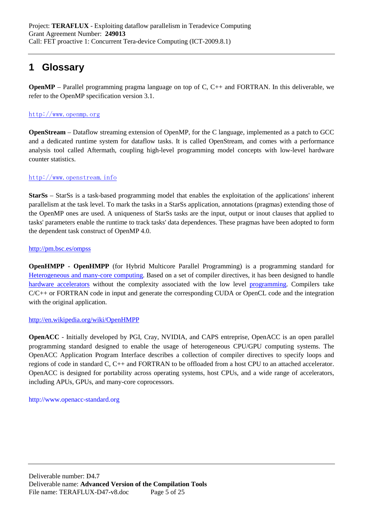# **1 Glossary**

**OpenMP** – Parallel programming pragma language on top of C, C++ and FORTRAN. In this deliverable, we refer to the OpenMP specification version 3.1.

### http://www.openmp.org

**OpenStream** – Dataflow streaming extension of OpenMP, for the C language, implemented as a patch to GCC and a dedicated runtime system for dataflow tasks. It is called OpenStream, and comes with a performance analysis tool called Aftermath, coupling high-level programming model concepts with low-level hardware counter statistics.

### http://www.openstream.info

**StarSs** – StarSs is a task-based programming model that enables the exploitation of the applications' inherent parallelism at the task level. To mark the tasks in a StarSs application, annotations (pragmas) extending those of the OpenMP ones are used. A uniqueness of StarSs tasks are the input, output or inout clauses that applied to tasks' parameters enable the runtime to track tasks' data dependences. These pragmas have been adopted to form the dependent task construct of OpenMP 4.0.

### http://pm.bsc.es/ompss

**OpenHMPP** - **OpenHMPP** (for Hybrid Multicore Parallel Programming) is a programming standard for Heterogeneous and many-core computing. Based on a set of compiler directives, it has been designed to handle hardware accelerators without the complexity associated with the low level programming. Compilers take  $C/C++$  or FORTRAN code in input and generate the corresponding CUDA or OpenCL code and the integration with the original application.

### http://en.wikipedia.org/wiki/OpenHMPP

**OpenACC** - Initially developed by PGI, Cray, NVIDIA, and CAPS entreprise, OpenACC is an open parallel programming standard designed to enable the usage of heterogeneous CPU/GPU computing systems. The OpenACC Application Program Interface describes a collection of compiler directives to specify loops and regions of code in standard C, C++ and FORTRAN to be offloaded from a host CPU to an attached accelerator. OpenACC is designed for portability across operating systems, host CPUs, and a wide range of accelerators, including APUs, GPUs, and many-core coprocessors.

#### http://www.openacc-standard.org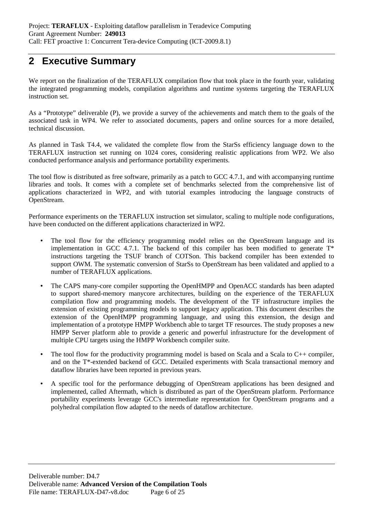# **2 Executive Summary**

We report on the finalization of the TERAFLUX compilation flow that took place in the fourth year, validating the integrated programming models, compilation algorithms and runtime systems targeting the TERAFLUX instruction set.

As a "Prototype" deliverable (P), we provide a survey of the achievements and match them to the goals of the associated task in WP4. We refer to associated documents, papers and online sources for a more detailed, technical discussion.

As planned in Task T4.4, we validated the complete flow from the StarSs efficiency language down to the TERAFLUX instruction set running on 1024 cores, considering realistic applications from WP2. We also conducted performance analysis and performance portability experiments.

The tool flow is distributed as free software, primarily as a patch to GCC 4.7.1, and with accompanying runtime libraries and tools. It comes with a complete set of benchmarks selected from the comprehensive list of applications characterized in WP2, and with tutorial examples introducing the language constructs of OpenStream.

Performance experiments on the TERAFLUX instruction set simulator, scaling to multiple node configurations, have been conducted on the different applications characterized in WP2.

- The tool flow for the efficiency programming model relies on the OpenStream language and its implementation in GCC 4.7.1. The backend of this compiler has been modified to generate  $T^*$ instructions targeting the TSUF branch of COTSon. This backend compiler has been extended to support OWM. The systematic conversion of StarSs to OpenStream has been validated and applied to a number of TERAFLUX applications.
- The CAPS many-core compiler supporting the OpenHMPP and OpenACC standards has been adapted to support shared-memory manycore architectures, building on the experience of the TERAFLUX compilation flow and programming models. The development of the TF infrastructure implies the extension of existing programming models to support legacy application. This document describes the extension of the OpenHMPP programming language, and using this extension, the design and implementation of a prototype HMPP Workbench able to target TF resources. The study proposes a new HMPP Server platform able to provide a generic and powerful infrastructure for the development of multiple CPU targets using the HMPP Workbench compiler suite.
- The tool flow for the productivity programming model is based on Scala and a Scala to C++ compiler, and on the T\*-extended backend of GCC. Detailed experiments with Scala transactional memory and dataflow libraries have been reported in previous years.
- A specific tool for the performance debugging of OpenStream applications has been designed and implemented, called Aftermath, which is distributed as part of the OpenStream platform. Performance portability experiments leverage GCC's intermediate representation for OpenStream programs and a polyhedral compilation flow adapted to the needs of dataflow architecture.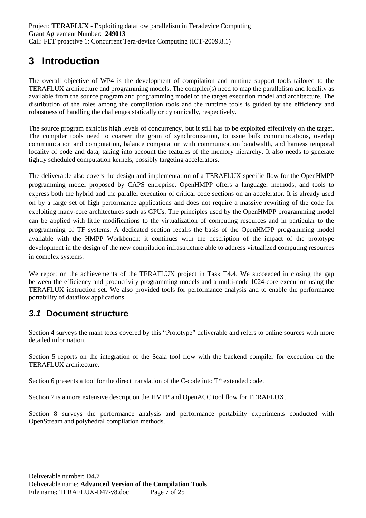# **3 Introduction**

The overall objective of WP4 is the development of compilation and runtime support tools tailored to the TERAFLUX architecture and programming models. The compiler(s) need to map the parallelism and locality as available from the source program and programming model to the target execution model and architecture. The distribution of the roles among the compilation tools and the runtime tools is guided by the efficiency and robustness of handling the challenges statically or dynamically, respectively.

The source program exhibits high levels of concurrency, but it still has to be exploited effectively on the target. The compiler tools need to coarsen the grain of synchronization, to issue bulk communications, overlap communication and computation, balance computation with communication bandwidth, and harness temporal locality of code and data, taking into account the features of the memory hierarchy. It also needs to generate tightly scheduled computation kernels, possibly targeting accelerators.

The deliverable also covers the design and implementation of a TERAFLUX specific flow for the OpenHMPP programming model proposed by CAPS entreprise. OpenHMPP offers a language, methods, and tools to express both the hybrid and the parallel execution of critical code sections on an accelerator. It is already used on by a large set of high performance applications and does not require a massive rewriting of the code for exploiting many-core architectures such as GPUs. The principles used by the OpenHMPP programming model can be applied with little modifications to the virtualization of computing resources and in particular to the programming of TF systems. A dedicated section recalls the basis of the OpenHMPP programming model available with the HMPP Workbench; it continues with the description of the impact of the prototype development in the design of the new compilation infrastructure able to address virtualized computing resources in complex systems.

We report on the achievements of the TERAFLUX project in Task T4.4. We succeeded in closing the gap between the efficiency and productivity programming models and a multi-node 1024-core execution using the TERAFLUX instruction set. We also provided tools for performance analysis and to enable the performance portability of dataflow applications.

## **3.1 Document structure**

Section 4 surveys the main tools covered by this "Prototype" deliverable and refers to online sources with more detailed information.

Section 5 reports on the integration of the Scala tool flow with the backend compiler for execution on the TERAFLUX architecture.

Section 6 presents a tool for the direct translation of the C-code into T\* extended code.

Section 7 is a more extensive descript on the HMPP and OpenACC tool flow for TERAFLUX.

Section 8 surveys the performance analysis and performance portability experiments conducted with OpenStream and polyhedral compilation methods.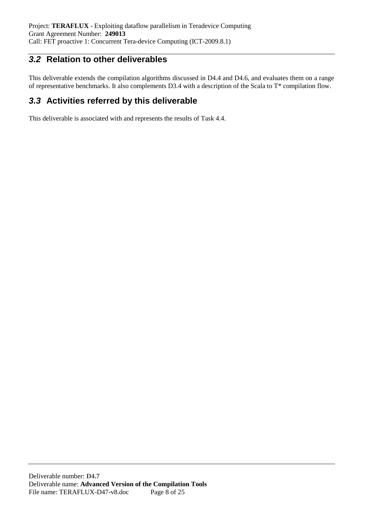## **3.2 Relation to other deliverables**

This deliverable extends the compilation algorithms discussed in D4.4 and D4.6, and evaluates them on a range of representative benchmarks. It also complements D3.4 with a description of the Scala to T\* compilation flow.

## **3.3 Activities referred by this deliverable**

This deliverable is associated with and represents the results of Task 4.4.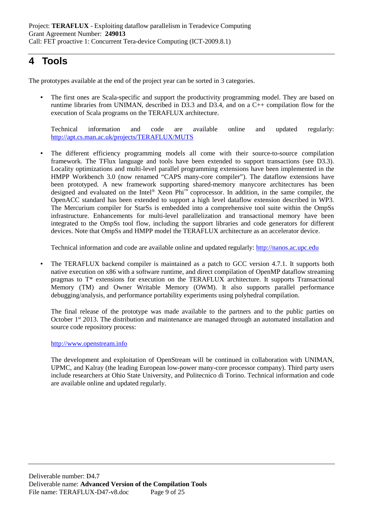# **4 Tools**

The prototypes available at the end of the project year can be sorted in 3 categories.

• The first ones are Scala-specific and support the productivity programming model. They are based on runtime libraries from UNIMAN, described in D3.3 and D3.4, and on a C++ compilation flow for the execution of Scala programs on the TERAFLUX architecture.

Technical information and code are available online and updated regularly: http://apt.cs.man.ac.uk/projects/TERAFLUX/MUTS

• The different efficiency programming models all come with their source-to-source compilation framework. The TFlux language and tools have been extended to support transactions (see D3.3). Locality optimizations and multi-level parallel programming extensions have been implemented in the HMPP Workbench 3.0 (now renamed "CAPS many-core compiler"). The dataflow extensions have been prototyped. A new framework supporting shared-memory manycore architectures has been designed and evaluated on the Intel® Xeon Phi™ coprocessor. In addition, in the same compiler, the OpenACC standard has been extended to support a high level dataflow extension described in WP3. The Mercurium compiler for StarSs is embedded into a comprehensive tool suite within the OmpSs infrastructure. Enhancements for multi-level parallelization and transactional memory have been integrated to the OmpSs tool flow, including the support libraries and code generators for different devices. Note that OmpSs and HMPP model the TERAFLUX architecture as an accelerator device.

Technical information and code are available online and updated regularly: http://nanos.ac.upc.edu

The TERAFLUX backend compiler is maintained as a patch to GCC version 4.7.1. It supports both native execution on x86 with a software runtime, and direct compilation of OpenMP dataflow streaming pragmas to T\* extensions for execution on the TERAFLUX architecture. It supports Transactional Memory (TM) and Owner Writable Memory (OWM). It also supports parallel performance debugging/analysis, and performance portability experiments using polyhedral compilation.

The final release of the prototype was made available to the partners and to the public parties on October 1<sup>st</sup> 2013. The distribution and maintenance are managed through an automated installation and source code repository process:

### http://www.openstream.info

The development and exploitation of OpenStream will be continued in collaboration with UNIMAN, UPMC, and Kalray (the leading European low-power many-core processor company). Third party users include researchers at Ohio State University, and Politecnico di Torino. Technical information and code are available online and updated regularly.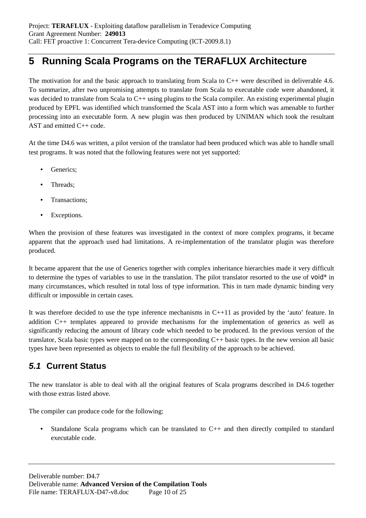# **5 Running Scala Programs on the TERAFLUX Architecture**

The motivation for and the basic approach to translating from Scala to C++ were described in deliverable 4.6. To summarize, after two unpromising attempts to translate from Scala to executable code were abandoned, it was decided to translate from Scala to C++ using plugins to the Scala compiler. An existing experimental plugin produced by EPFL was identified which transformed the Scala AST into a form which was amenable to further processing into an executable form. A new plugin was then produced by UNIMAN which took the resultant AST and emitted C++ code.

At the time D4.6 was written, a pilot version of the translator had been produced which was able to handle small test programs. It was noted that the following features were not yet supported:

- Generics;
- Threads;
- Transactions;
- Exceptions.

When the provision of these features was investigated in the context of more complex programs, it became apparent that the approach used had limitations. A re-implementation of the translator plugin was therefore produced.

It became apparent that the use of Generics together with complex inheritance hierarchies made it very difficult to determine the types of variables to use in the translation. The pilot translator resorted to the use of  $\text{void}^*$  in many circumstances, which resulted in total loss of type information. This in turn made dynamic binding very difficult or impossible in certain cases.

It was therefore decided to use the type inference mechanisms in C++11 as provided by the 'auto' feature. In addition C++ templates appeared to provide mechanisms for the implementation of generics as well as significantly reducing the amount of library code which needed to be produced. In the previous version of the translator, Scala basic types were mapped on to the corresponding C++ basic types. In the new version all basic types have been represented as objects to enable the full flexibility of the approach to be achieved.

## **5.1 Current Status**

The new translator is able to deal with all the original features of Scala programs described in D4.6 together with those extras listed above.

The compiler can produce code for the following:

• Standalone Scala programs which can be translated to C++ and then directly compiled to standard executable code.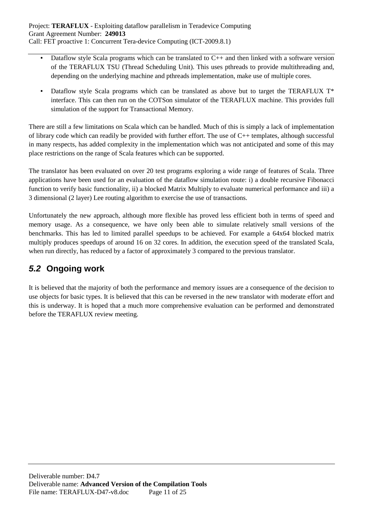- Dataflow style Scala programs which can be translated to C++ and then linked with a software version of the TERAFLUX TSU (Thread Scheduling Unit). This uses pthreads to provide multithreading and, depending on the underlying machine and pthreads implementation, make use of multiple cores.
- Dataflow style Scala programs which can be translated as above but to target the TERAFLUX T\* interface. This can then run on the COTSon simulator of the TERAFLUX machine. This provides full simulation of the support for Transactional Memory.

There are still a few limitations on Scala which can be handled. Much of this is simply a lack of implementation of library code which can readily be provided with further effort. The use of  $C_{++}$  templates, although successful in many respects, has added complexity in the implementation which was not anticipated and some of this may place restrictions on the range of Scala features which can be supported.

The translator has been evaluated on over 20 test programs exploring a wide range of features of Scala. Three applications have been used for an evaluation of the dataflow simulation route: i) a double recursive Fibonacci function to verify basic functionality, ii) a blocked Matrix Multiply to evaluate numerical performance and iii) a 3 dimensional (2 layer) Lee routing algorithm to exercise the use of transactions.

Unfortunately the new approach, although more flexible has proved less efficient both in terms of speed and memory usage. As a consequence, we have only been able to simulate relatively small versions of the benchmarks. This has led to limited parallel speedups to be achieved. For example a 64x64 blocked matrix multiply produces speedups of around 16 on 32 cores. In addition, the execution speed of the translated Scala, when run directly, has reduced by a factor of approximately 3 compared to the previous translator.

# **5.2 Ongoing work**

It is believed that the majority of both the performance and memory issues are a consequence of the decision to use objects for basic types. It is believed that this can be reversed in the new translator with moderate effort and this is underway. It is hoped that a much more comprehensive evaluation can be performed and demonstrated before the TERAFLUX review meeting.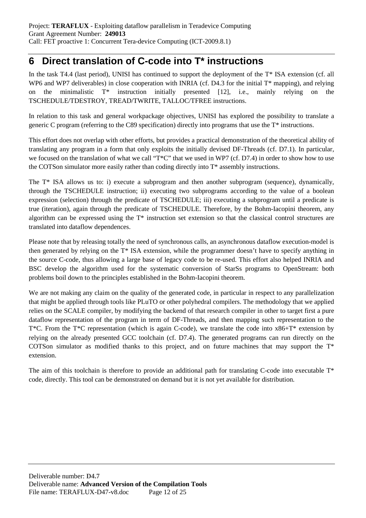# **6 Direct translation of C-code into T\* instructions**

In the task T4.4 (last period), UNISI has continued to support the deployment of the T\* ISA extension (cf. all WP6 and WP7 deliverables) in close cooperation with INRIA (cf. D4.3 for the initial T<sup>\*</sup> mapping), and relying on the minimalistic T\* instruction initially presented [12], i.e., mainly relying on the TSCHEDULE/TDESTROY, TREAD/TWRITE, TALLOC/TFREE instructions.

In relation to this task and general workpackage objectives, UNISI has explored the possibility to translate a generic C program (referring to the C89 specification) directly into programs that use the T\* instructions.

This effort does not overlap with other efforts, but provides a practical demonstration of the theoretical ability of translating any program in a form that only exploits the initially devised DF-Threads (cf. D7.1). In particular, we focused on the translation of what we call "T\*C" that we used in WP7 (cf. D7.4) in order to show how to use the COTSon simulator more easily rather than coding directly into T\* assembly instructions.

The T\* ISA allows us to: i) execute a subprogram and then another subprogram (sequence), dynamically, through the TSCHEDULE instruction; ii) executing two subprograms according to the value of a boolean expression (selection) through the predicate of TSCHEDULE; iii) executing a subprogram until a predicate is true (iteration), again through the predicate of TSCHEDULE. Therefore, by the Bohm-Iacopini theorem, any algorithm can be expressed using the T\* instruction set extension so that the classical control structures are translated into dataflow dependences.

Please note that by releasing totally the need of synchronous calls, an asynchronous dataflow execution-model is then generated by relying on the T\* ISA extension, while the programmer doesn't have to specify anything in the source C-code, thus allowing a large base of legacy code to be re-used. This effort also helped INRIA and BSC develop the algorithm used for the systematic conversion of StarSs programs to OpenStream: both problems boil down to the principles established in the Bohm-Iacopini theorem.

We are not making any claim on the quality of the generated code, in particular in respect to any parallelization that might be applied through tools like PLuTO or other polyhedral compilers. The methodology that we applied relies on the SCALE compiler, by modifying the backend of that research compiler in other to target first a pure dataflow representation of the program in term of DF-Threads, and then mapping such representation to the T<sup>\*</sup>C. From the T<sup>\*</sup>C representation (which is again C-code), we translate the code into  $x86+T^*$  extension by relying on the already presented GCC toolchain (cf. D7.4). The generated programs can run directly on the COTSon simulator as modified thanks to this project, and on future machines that may support the  $T^*$ extension.

The aim of this toolchain is therefore to provide an additional path for translating C-code into executable  $T^*$ code, directly. This tool can be demonstrated on demand but it is not yet available for distribution.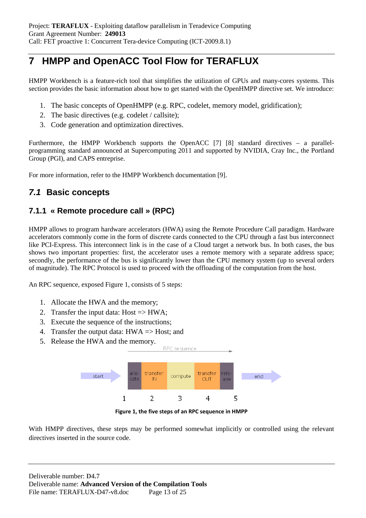# **7 HMPP and OpenACC Tool Flow for TERAFLUX**

HMPP Workbench is a feature-rich tool that simplifies the utilization of GPUs and many-cores systems. This section provides the basic information about how to get started with the OpenHMPP directive set. We introduce:

- 1. The basic concepts of OpenHMPP (e.g. RPC, codelet, memory model, gridification);
- 2. The basic directives (e.g. codelet / callsite);
- 3. Code generation and optimization directives.

Furthermore, the HMPP Workbench supports the OpenACC [7] [8] standard directives – a parallelprogramming standard announced at Supercomputing 2011 and supported by NVIDIA, Cray Inc., the Portland Group (PGI), and CAPS entreprise.

For more information, refer to the HMPP Workbench documentation [9].

## **7.1 Basic concepts**

## **7.1.1 « Remote procedure call » (RPC)**

HMPP allows to program hardware accelerators (HWA) using the Remote Procedure Call paradigm. Hardware accelerators commonly come in the form of discrete cards connected to the CPU through a fast bus interconnect like PCI-Express. This interconnect link is in the case of a Cloud target a network bus. In both cases, the bus shows two important properties: first, the accelerator uses a remote memory with a separate address space; secondly, the performance of the bus is significantly lower than the CPU memory system (up to several orders of magnitude). The RPC Protocol is used to proceed with the offloading of the computation from the host.

An RPC sequence, exposed Figure 1, consists of 5 steps:

- 1. Allocate the HWA and the memory;
- 2. Transfer the input data:  $Host \Rightarrow HWA$ ;
- 3. Execute the sequence of the instructions;
- 4. Transfer the output data: HWA => Host; and
- 5. Release the HWA and the memory.



**Figure 1, the five steps of an RPC sequence in HMPP**

With HMPP directives, these steps may be performed somewhat implicitly or controlled using the relevant directives inserted in the source code.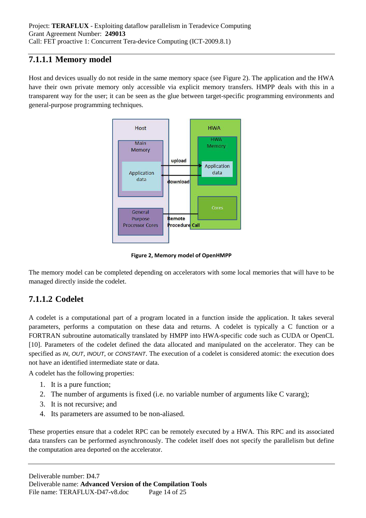## **7.1.1.1 Memory model**

Host and devices usually do not reside in the same memory space (see Figure 2). The application and the HWA have their own private memory only accessible via explicit memory transfers. HMPP deals with this in a transparent way for the user; it can be seen as the glue between target-specific programming environments and general-purpose programming techniques.



**Figure 2, Memory model of OpenHMPP** 

The memory model can be completed depending on accelerators with some local memories that will have to be managed directly inside the codelet.

## **7.1.1.2 Codelet**

A codelet is a computational part of a program located in a function inside the application. It takes several parameters, performs a computation on these data and returns. A codelet is typically a C function or a FORTRAN subroutine automatically translated by HMPP into HWA-specific code such as CUDA or OpenCL [10]. Parameters of the codelet defined the data allocated and manipulated on the accelerator. They can be specified as *IN*, *OUT*, *INOUT*, or *CONSTANT*. The execution of a codelet is considered atomic: the execution does not have an identified intermediate state or data.

A codelet has the following properties:

- 1. It is a pure function;
- 2. The number of arguments is fixed (i.e. no variable number of arguments like C vararg);
- 3. It is not recursive; and
- 4. Its parameters are assumed to be non-aliased.

These properties ensure that a codelet RPC can be remotely executed by a HWA. This RPC and its associated data transfers can be performed asynchronously. The codelet itself does not specify the parallelism but define the computation area deported on the accelerator.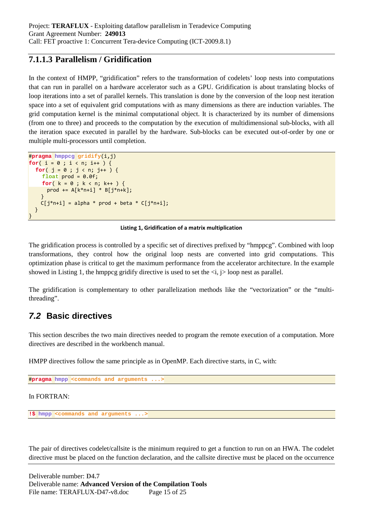## **7.1.1.3 Parallelism / Gridification**

In the context of HMPP, "gridification" refers to the transformation of codelets' loop nests into computations that can run in parallel on a hardware accelerator such as a GPU. Gridification is about translating blocks of loop iterations into a set of parallel kernels. This translation is done by the conversion of the loop nest iteration space into a set of equivalent grid computations with as many dimensions as there are induction variables. The grid computation kernel is the minimal computational object. It is characterized by its number of dimensions (from one to three) and proceeds to the computation by the execution of multidimensional sub-blocks, with all the iteration space executed in parallel by the hardware. Sub-blocks can be executed out-of-order by one or multiple multi-processors until completion.

```
#pragma hmppcg gridify(i,j)
for( i = 0 ; i < n; i++) {
   for( j = 0 ; j < n; j++ ) {
     float prod = 0.0f;
    for(k = 0; k < n; k++) {
       prod += A[k*n+i] * B[j*n+k];
 }
    C[j*n+i] = alpha * prod + beta * C[j*n+i]; }
}
```
#### **Listing 1, Gridification of a matrix multiplication**

The gridification process is controlled by a specific set of directives prefixed by "hmppcg". Combined with loop transformations, they control how the original loop nests are converted into grid computations. This optimization phase is critical to get the maximum performance from the accelerator architecture. In the example showed in Listing 1, the hmppcg gridify directive is used to set the  $\langle i, j \rangle$  loop nest as parallel.

The gridification is complementary to other parallelization methods like the "vectorization" or the "multithreading".

## **7.2 Basic directives**

This section describes the two main directives needed to program the remote execution of a computation. More directives are described in the workbench manual.

HMPP directives follow the same principle as in OpenMP. Each directive starts, in C, with:

#**pragma hmpp <commands and arguments ...>**

In FORTRAN:

**!\$ hmpp <commands and arguments ...>**

The pair of directives codelet/callsite is the minimum required to get a function to run on an HWA. The codelet directive must be placed on the function declaration, and the callsite directive must be placed on the occurrence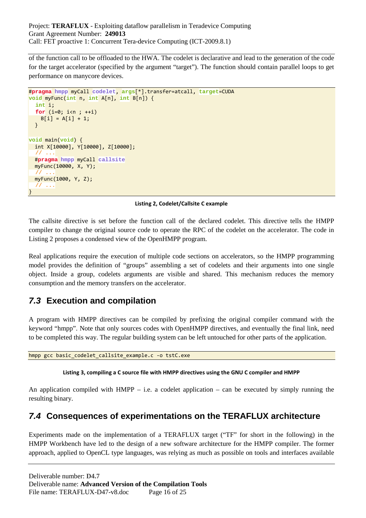of the function call to be offloaded to the HWA. The codelet is declarative and lead to the generation of the code for the target accelerator (specified by the argument "target"). The function should contain parallel loops to get performance on manycore devices.

```
#pragma hmpp myCall codelet, args[*].transfer=atcall, target=CUDA
void myFunc(int n, int A[n], int B[n]) {
   int i;
   for (i=0; i<n ; ++i)
    B[i] = A[i] + 1; }
void main(void) {
   int X[10000], Y[10000], Z[10000];
 // ...
   #pragma hmpp myCall callsite
   myFunc(10000, X, Y);
      // ...
   myFunc(1000, Y, Z);
   // ...
}
```
#### **Listing 2, Codelet/Callsite C example**

The callsite directive is set before the function call of the declared codelet. This directive tells the HMPP compiler to change the original source code to operate the RPC of the codelet on the accelerator. The code in Listing 2 proposes a condensed view of the OpenHMPP program.

Real applications require the execution of multiple code sections on accelerators, so the HMPP programming model provides the definition of "groups" assembling a set of codelets and their arguments into one single object. Inside a group, codelets arguments are visible and shared. This mechanism reduces the memory consumption and the memory transfers on the accelerator.

## **7.3 Execution and compilation**

A program with HMPP directives can be compiled by prefixing the original compiler command with the keyword "hmpp". Note that only sources codes with OpenHMPP directives, and eventually the final link, need to be completed this way. The regular building system can be left untouched for other parts of the application.

hmpp gcc basic codelet callsite example.c -o tstC.exe

#### **Listing 3, compiling a C source file with HMPP directives using the GNU C compiler and HMPP**

An application compiled with  $HMPP - i.e.$  a codelet application – can be executed by simply running the resulting binary.

## **7.4 Consequences of experimentations on the TERAFLUX architecture**

Experiments made on the implementation of a TERAFLUX target ("TF" for short in the following) in the HMPP Workbench have led to the design of a new software architecture for the HMPP compiler. The former approach, applied to OpenCL type languages, was relying as much as possible on tools and interfaces available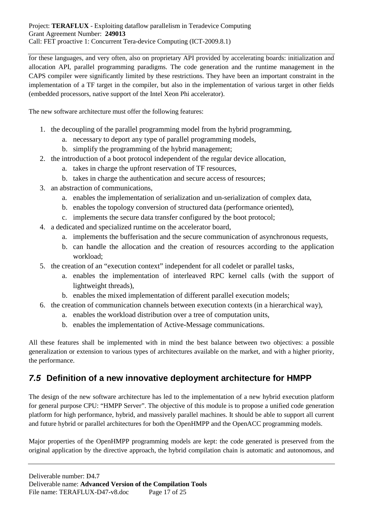for these languages, and very often, also on proprietary API provided by accelerating boards: initialization and allocation API, parallel programming paradigms. The code generation and the runtime management in the CAPS compiler were significantly limited by these restrictions. They have been an important constraint in the implementation of a TF target in the compiler, but also in the implementation of various target in other fields (embedded processors, native support of the Intel Xeon Phi accelerator).

The new software architecture must offer the following features:

- 1. the decoupling of the parallel programming model from the hybrid programming,
	- a. necessary to deport any type of parallel programming models,
	- b. simplify the programming of the hybrid management;
- 2. the introduction of a boot protocol independent of the regular device allocation,
	- a. takes in charge the upfront reservation of TF resources,
	- b. takes in charge the authentication and secure access of resources;
- 3. an abstraction of communications,
	- a. enables the implementation of serialization and un-serialization of complex data,
	- b. enables the topology conversion of structured data (performance oriented),
	- c. implements the secure data transfer configured by the boot protocol;
- 4. a dedicated and specialized runtime on the accelerator board,
	- a. implements the bufferisation and the secure communication of asynchronous requests,
	- b. can handle the allocation and the creation of resources according to the application workload;
- 5. the creation of an "execution context" independent for all codelet or parallel tasks,
	- a. enables the implementation of interleaved RPC kernel calls (with the support of lightweight threads),
	- b. enables the mixed implementation of different parallel execution models;
- 6. the creation of communication channels between execution contexts (in a hierarchical way),
	- a. enables the workload distribution over a tree of computation units,
	- b. enables the implementation of Active-Message communications.

All these features shall be implemented with in mind the best balance between two objectives: a possible generalization or extension to various types of architectures available on the market, and with a higher priority, the performance.

## **7.5 Definition of a new innovative deployment architecture for HMPP**

The design of the new software architecture has led to the implementation of a new hybrid execution platform for general purpose CPU: "HMPP Server". The objective of this module is to propose a unified code generation platform for high performance, hybrid, and massively parallel machines. It should be able to support all current and future hybrid or parallel architectures for both the OpenHMPP and the OpenACC programming models.

Major properties of the OpenHMPP programming models are kept: the code generated is preserved from the original application by the directive approach, the hybrid compilation chain is automatic and autonomous, and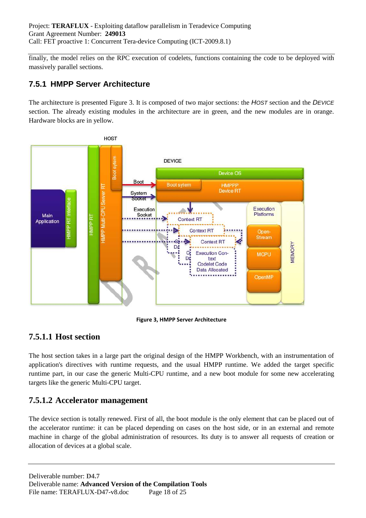finally, the model relies on the RPC execution of codelets, functions containing the code to be deployed with massively parallel sections.

## **7.5.1 HMPP Server Architecture**

The architecture is presented Figure 3. It is composed of two major sections: the HOST section and the DEVICE section. The already existing modules in the architecture are in green, and the new modules are in orange. Hardware blocks are in yellow.



**Figure 3, HMPP Server Architecture** 

## **7.5.1.1 Host section**

The host section takes in a large part the original design of the HMPP Workbench, with an instrumentation of application's directives with runtime requests, and the usual HMPP runtime. We added the target specific runtime part, in our case the generic Multi-CPU runtime, and a new boot module for some new accelerating targets like the generic Multi-CPU target.

## **7.5.1.2 Accelerator management**

The device section is totally renewed. First of all, the boot module is the only element that can be placed out of the accelerator runtime: it can be placed depending on cases on the host side, or in an external and remote machine in charge of the global administration of resources. Its duty is to answer all requests of creation or allocation of devices at a global scale.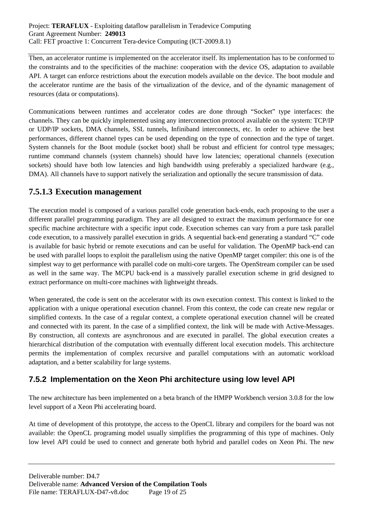Then, an accelerator runtime is implemented on the accelerator itself. Its implementation has to be conformed to the constraints and to the specificities of the machine: cooperation with the device OS, adaptation to available API. A target can enforce restrictions about the execution models available on the device. The boot module and the accelerator runtime are the basis of the virtualization of the device, and of the dynamic management of resources (data or computations).

Communications between runtimes and accelerator codes are done through "Socket" type interfaces: the channels. They can be quickly implemented using any interconnection protocol available on the system: TCP/IP or UDP/IP sockets, DMA channels, SSL tunnels, Infiniband interconnects, etc. In order to achieve the best performances, different channel types can be used depending on the type of connection and the type of target. System channels for the Boot module (socket boot) shall be robust and efficient for control type messages; runtime command channels (system channels) should have low latencies; operational channels (execution sockets) should have both low latencies and high bandwidth using preferably a specialized hardware (e.g., DMA). All channels have to support natively the serialization and optionally the secure transmission of data.

## **7.5.1.3 Execution management**

The execution model is composed of a various parallel code generation back-ends, each proposing to the user a different parallel programming paradigm. They are all designed to extract the maximum performance for one specific machine architecture with a specific input code. Execution schemes can vary from a pure task parallel code execution, to a massively parallel execution in grids. A sequential back-end generating a standard "C" code is available for basic hybrid or remote executions and can be useful for validation. The OpenMP back-end can be used with parallel loops to exploit the parallelism using the native OpenMP target compiler: this one is of the simplest way to get performance with parallel code on multi-core targets. The OpenStream compiler can be used as well in the same way. The MCPU back-end is a massively parallel execution scheme in grid designed to extract performance on multi-core machines with lightweight threads.

When generated, the code is sent on the accelerator with its own execution context. This context is linked to the application with a unique operational execution channel. From this context, the code can create new regular or simplified contexts. In the case of a regular context, a complete operational execution channel will be created and connected with its parent. In the case of a simplified context, the link will be made with Active-Messages. By construction, all contexts are asynchronous and are executed in parallel. The global execution creates a hierarchical distribution of the computation with eventually different local execution models. This architecture permits the implementation of complex recursive and parallel computations with an automatic workload adaptation, and a better scalability for large systems.

## **7.5.2 Implementation on the Xeon Phi architecture using low level API**

The new architecture has been implemented on a beta branch of the HMPP Workbench version 3.0.8 for the low level support of a Xeon Phi accelerating board.

At time of development of this prototype, the access to the OpenCL library and compilers for the board was not available: the OpenCL programing model usually simplifies the programming of this type of machines. Only low level API could be used to connect and generate both hybrid and parallel codes on Xeon Phi. The new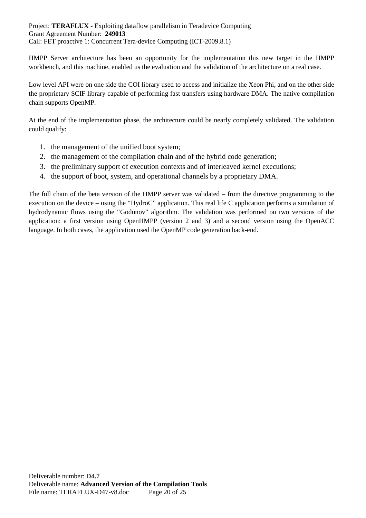HMPP Server architecture has been an opportunity for the implementation this new target in the HMPP workbench, and this machine, enabled us the evaluation and the validation of the architecture on a real case.

Low level API were on one side the COI library used to access and initialize the Xeon Phi, and on the other side the proprietary SCIF library capable of performing fast transfers using hardware DMA. The native compilation chain supports OpenMP.

At the end of the implementation phase, the architecture could be nearly completely validated. The validation could qualify:

- 1. the management of the unified boot system;
- 2. the management of the compilation chain and of the hybrid code generation;
- 3. the preliminary support of execution contexts and of interleaved kernel executions;
- 4. the support of boot, system, and operational channels by a proprietary DMA.

The full chain of the beta version of the HMPP server was validated – from the directive programming to the execution on the device – using the "HydroC" application. This real life C application performs a simulation of hydrodynamic flows using the "Godunov" algorithm. The validation was performed on two versions of the application: a first version using OpenHMPP (version 2 and 3) and a second version using the OpenACC language. In both cases, the application used the OpenMP code generation back-end.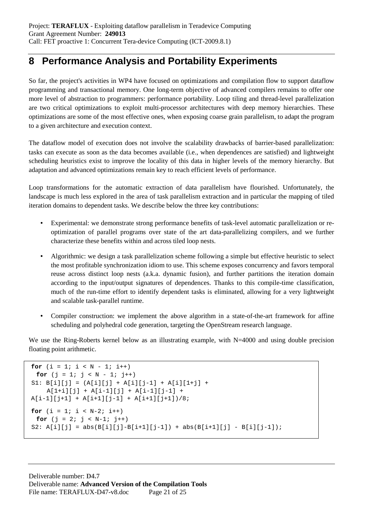# **8 Performance Analysis and Portability Experiments**

So far, the project's activities in WP4 have focused on optimizations and compilation flow to support dataflow programming and transactional memory. One long-term objective of advanced compilers remains to offer one more level of abstraction to programmers: performance portability. Loop tiling and thread-level parallelization are two critical optimizations to exploit multi-processor architectures with deep memory hierarchies. These optimizations are some of the most effective ones, when exposing coarse grain parallelism, to adapt the program to a given architecture and execution context.

The dataflow model of execution does not involve the scalability drawbacks of barrier-based parallelization: tasks can execute as soon as the data becomes available (i.e., when dependences are satisfied) and lightweight scheduling heuristics exist to improve the locality of this data in higher levels of the memory hierarchy. But adaptation and advanced optimizations remain key to reach efficient levels of performance.

Loop transformations for the automatic extraction of data parallelism have flourished. Unfortunately, the landscape is much less explored in the area of task parallelism extraction and in particular the mapping of tiled iteration domains to dependent tasks. We describe below the three key contributions:

- Experimental: we demonstrate strong performance benefits of task-level automatic parallelization or reoptimization of parallel programs over state of the art data-parallelizing compilers, and we further characterize these benefits within and across tiled loop nests.
- Algorithmic: we design a task parallelization scheme following a simple but effective heuristic to select the most profitable synchronization idiom to use. This scheme exposes concurrency and favors temporal reuse across distinct loop nests (a.k.a. dynamic fusion), and further partitions the iteration domain according to the input/output signatures of dependences. Thanks to this compile-time classification, much of the run-time effort to identify dependent tasks is eliminated, allowing for a very lightweight and scalable task-parallel runtime.
- Compiler construction: we implement the above algorithm in a state-of-the-art framework for affine scheduling and polyhedral code generation, targeting the OpenStream research language.

We use the Ring-Roberts kernel below as an illustrating example, with N=4000 and using double precision floating point arithmetic.

```
for (i = 1; i < N - 1; i++)for (j = 1; j < N - 1; j++)SI: B[i][j] = (A[i][j] + A[i][j-1] + A[i][1+j] +A[1+i][j] + A[i-1][j] + A[i-1][j-1] +A[i-1][j+1] + A[i+1][j-1] + A[i+1][j+1]/8;for (i = 1; i < N-2; i++)for (j = 2; j < N-1; j++)S2: A[i][j] = abs(B[i][j]-B[i+1][j-1]) + abs(B[i+1][j] - B[i][j-1]);
```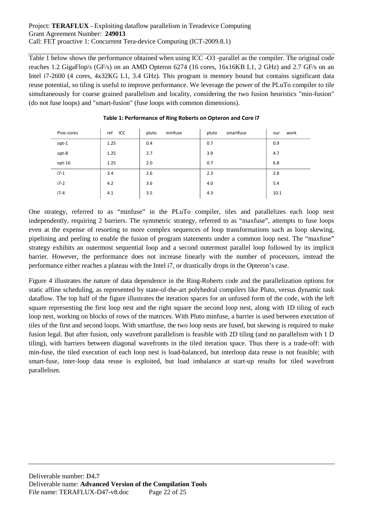### Project: **TERAFLUX** - Exploiting dataflow parallelism in Teradevice Computing Grant Agreement Number: **249013** Call: FET proactive 1: Concurrent Tera-device Computing (ICT-2009.8.1)

Table 1 below shows the performance obtained when using ICC -O3 -parallel as the compiler. The original code reaches 1.2 GigaFlop/s (GF/s) on an AMD Opteron 6274 (16 cores, 16x16KB L1, 2 GHz) and 2.7 GF/s on an Intel i7-2600 (4 cores, 4x32KG L1, 3.4 GHz). This program is memory bound but contains significant data reuse potential, so tiling is useful to improve performance. We leverage the power of the PLuTo compiler to tile simultaneously for coarse grained parallelism and locality, considering the two fusion heuristics "min-fusion" (do not fuse loops) and "smart-fusion" (fuse loops with common dimensions).

| Proc-cores | ref<br>ICC | minfuse<br>pluto | smartfuse<br>pluto | work<br>our |
|------------|------------|------------------|--------------------|-------------|
| opt-1      | 1.25       | 0.4              | 0.7                | 0.9         |
| opt-8      | 1.25       | 2.7              | 3.9                | 4.7         |
| opt-16     | 1.25       | 2.0              | 0.7                | 6.8         |
| $i7-1$     | 3.4        | 2.6              | 2.3                | 2.8         |
| $i7-2$     | 4.2        | 3.6              | 4.0                | 5.4         |
| $i7-4$     | 4.1        | 3.5              | 4.3                | 10.1        |

### **Table 1: Performance of Ring Roberts on Opteron and Core i7**

One strategy, referred to as "minfuse" in the PLuTo compiler, tiles and parallelizes each loop nest independently, requiring 2 barriers. The symmetric strategy, referred to as "maxfuse", attempts to fuse loops even at the expense of resorting to more complex sequences of loop transformations such as loop skewing, pipelining and peeling to enable the fusion of program statements under a common loop nest. The "maxfuse" strategy exhibits an outermost sequential loop and a second outermost parallel loop followed by its implicit barrier. However, the performance does not increase linearly with the number of processors, instead the performance either reaches a plateau with the Intel i7, or drastically drops in the Opteron's case.

Figure 4 illustrates the nature of data dependence in the Ring-Roberts code and the parallelization options for static affine scheduling, as represented by state-of-the-art polyhedral compilers like Pluto, versus dynamic task dataflow. The top half of the figure illustrates the iteration spaces for an unfused form of the code, with the left square representing the first loop nest and the right square the second loop nest, along with 1D tiling of each loop nest, working on blocks of rows of the matrices. With Pluto minfuse, a barrier is used between execution of tiles of the first and second loops. With smartfuse, the two loop nests are fused, but skewing is required to make fusion legal. But after fusion, only wavefront parallelism is feasible with 2D tiling (and no parallelism with 1 D tiling), with barriers between diagonal wavefronts in the tiled iteration space. Thus there is a trade-off: with min-fuse, the tiled execution of each loop nest is load-balanced, but interloop data reuse is not feasible; with smart-fuse, inter-loop data reuse is exploited, but load imbalance at start-up results for tiled wavefront parallelism.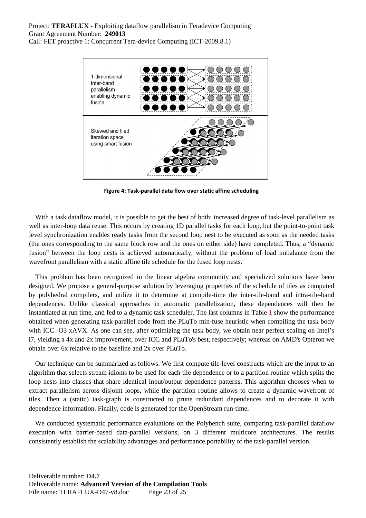

**Figure 4: Task-parallel data flow over static affine scheduling**

With a task dataflow model, it is possible to get the best of both: increased degree of task-level parallelism as well as inter-loop data reuse. This occurs by creating 1D parallel tasks for each loop, but the point-to-point task level synchronization enables ready tasks from the second loop nest to be executed as soon as the needed tasks (the ones corresponding to the same block row and the ones on either side) have completed. Thus, a "dynamic fusion" between the loop nests is achieved automatically, without the problem of load imbalance from the wavefront parallelism with a static affine tile schedule for the fused loop nests.

This problem has been recognized in the linear algebra community and specialized solutions have been designed. We propose a general-purpose solution by leveraging properties of the schedule of tiles as computed by polyhedral compilers, and utilize it to determine at compile-time the inter-tile-band and intra-tile-band dependences. Unlike classical approaches in automatic parallelization, these dependences will then be instantiated at run time, and fed to a dynamic task scheduler. The last columns in Table 1 show the performance obtained when generating task-parallel code from the PLuTo min-fuse heuristic when compiling the task body with ICC -O3 xAVX. As one can see, after optimizing the task body, we obtain near perfect scaling on Intel's i7, yielding a 4x and 2x improvement, over ICC and PLuTo's best, respectively; whereas on AMD's Opteron we obtain over 6x relative to the baseline and 2x over PLuTo.

Our technique can be summarized as follows. We first compute tile-level constructs which are the input to an algorithm that selects stream idioms to be used for each tile dependence or to a partition routine which splits the loop nests into classes that share identical input/output dependence patterns. This algorithm chooses when to extract parallelism across disjoint loops, while the partition routine allows to create a dynamic wavefront of tiles. Then a (static) task-graph is constructed to prune redundant dependences and to decorate it with dependence information. Finally, code is generated for the OpenStream run-time.

We conducted systematic performance evaluations on the Polybench suite, comparing task-parallel dataflow execution with barrier-based data-parallel versions, on 3 different multicore architectures. The results consistently establish the scalability advantages and performance portability of the task-parallel version.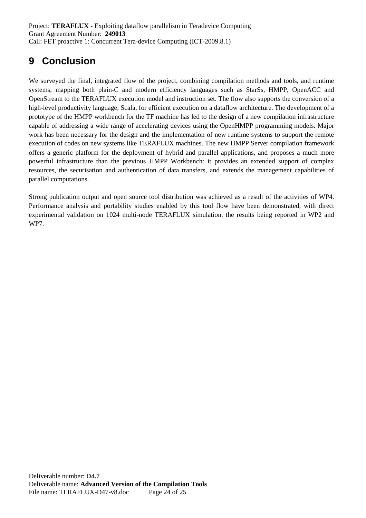# **9 Conclusion**

We surveyed the final, integrated flow of the project, combining compilation methods and tools, and runtime systems, mapping both plain-C and modern efficiency languages such as StarSs, HMPP, OpenACC and OpenStream to the TERAFLUX execution model and instruction set. The flow also supports the conversion of a high-level productivity language, Scala, for efficient execution on a dataflow architecture. The development of a prototype of the HMPP workbench for the TF machine has led to the design of a new compilation infrastructure capable of addressing a wide range of accelerating devices using the OpenHMPP programming models. Major work has been necessary for the design and the implementation of new runtime systems to support the remote execution of codes on new systems like TERAFLUX machines. The new HMPP Server compilation framework offers a generic platform for the deployment of hybrid and parallel applications, and proposes a much more powerful infrastructure than the previous HMPP Workbench: it provides an extended support of complex resources, the securisation and authentication of data transfers, and extends the management capabilities of parallel computations.

Strong publication output and open source tool distribution was achieved as a result of the activities of WP4. Performance analysis and portability studies enabled by this tool flow have been demonstrated, with direct experimental validation on 1024 multi-node TERAFLUX simulation, the results being reported in WP2 and WP7.